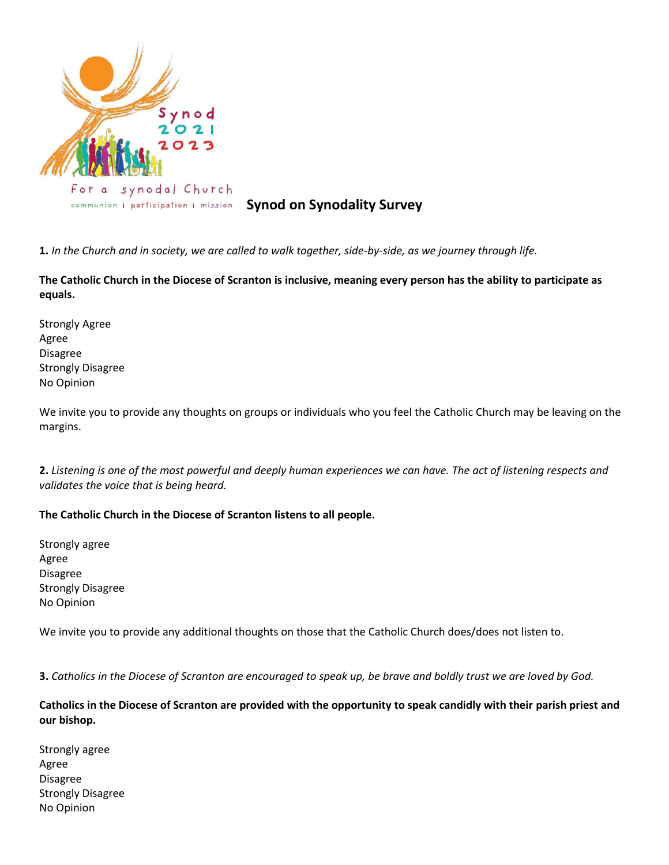

# *COMMUNION | patticipation | Mission* **Synod on Synodality Survey**

**1.** *In the Church and in society, we are called to walk together, side-by-side, as we journey through life.*

**The Catholic Church in the Diocese of Scranton is inclusive, meaning every person has the ability to participate as equals.**

Strongly Agree Agree Disagree Strongly Disagree No Opinion

We invite you to provide any thoughts on groups or individuals who you feel the Catholic Church may be leaving on the margins.

**2.** *Listening is one of the most powerful and deeply human experiences we can have. The act of listening respects and validates the voice that is being heard.*

### **The Catholic Church in the Diocese of Scranton listens to all people.**

Strongly agree Agree Disagree Strongly Disagree No Opinion

We invite you to provide any additional thoughts on those that the Catholic Church does/does not listen to.

**3.** *Catholics in the Diocese of Scranton are encouraged to speak up, be brave and boldly trust we are loved by God.*

# **Catholics in the Diocese of Scranton are provided with the opportunity to speak candidly with their parish priest and our bishop.**

Strongly agree Agree Disagree Strongly Disagree No Opinion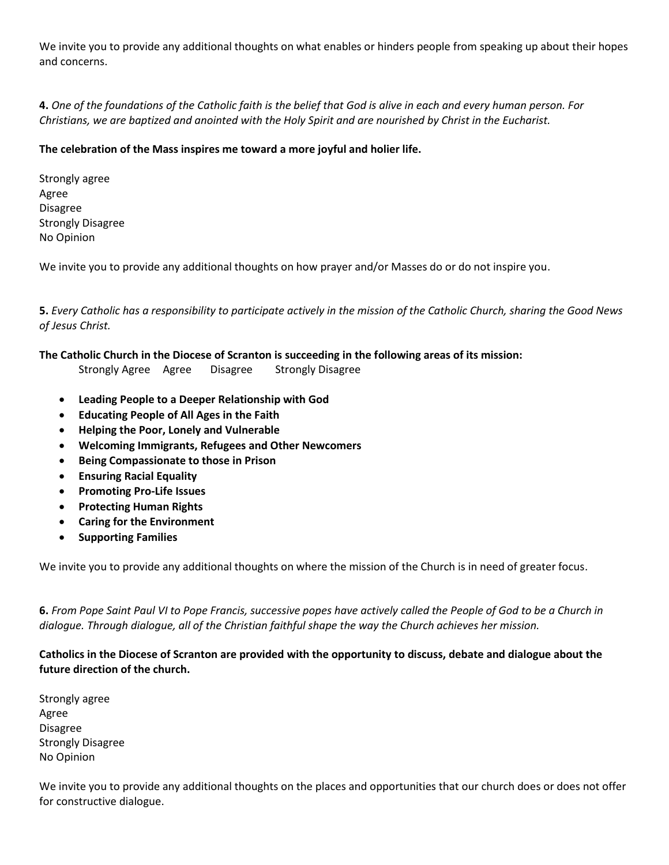We invite you to provide any additional thoughts on what enables or hinders people from speaking up about their hopes and concerns.

**4.** *One of the foundations of the Catholic faith is the belief that God is alive in each and every human person. For Christians, we are baptized and anointed with the Holy Spirit and are nourished by Christ in the Eucharist.*

# **The celebration of the Mass inspires me toward a more joyful and holier life.**

Strongly agree Agree Disagree Strongly Disagree No Opinion

We invite you to provide any additional thoughts on how prayer and/or Masses do or do not inspire you.

**5.** *Every Catholic has a responsibility to participate actively in the mission of the Catholic Church, sharing the Good News of Jesus Christ.*

### **The Catholic Church in the Diocese of Scranton is succeeding in the following areas of its mission:**

Strongly Agree Agree Disagree Strongly Disagree

- **Leading People to a Deeper Relationship with God**
- **Educating People of All Ages in the Faith**
- **Helping the Poor, Lonely and Vulnerable**
- **Welcoming Immigrants, Refugees and Other Newcomers**
- **Being Compassionate to those in Prison**
- **Ensuring Racial Equality**
- **Promoting Pro-Life Issues**
- **Protecting Human Rights**
- **Caring for the Environment**
- **Supporting Families**

We invite you to provide any additional thoughts on where the mission of the Church is in need of greater focus.

**6.** *From Pope Saint Paul VI to Pope Francis, successive popes have actively called the People of God to be a Church in dialogue. Through dialogue, all of the Christian faithful shape the way the Church achieves her mission.*

**Catholics in the Diocese of Scranton are provided with the opportunity to discuss, debate and dialogue about the future direction of the church.**

Strongly agree Agree Disagree Strongly Disagree No Opinion

We invite you to provide any additional thoughts on the places and opportunities that our church does or does not offer for constructive dialogue.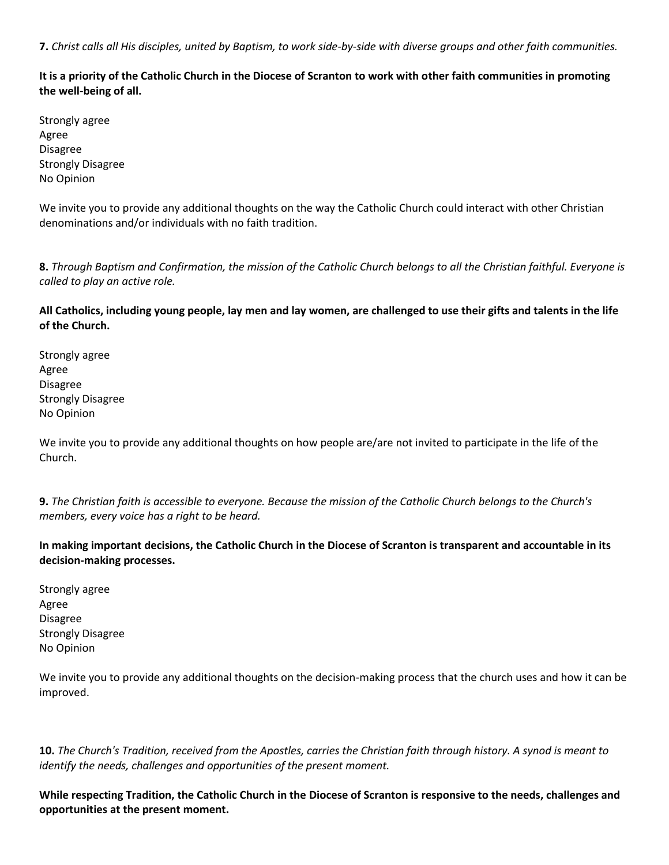**7.** *Christ calls all His disciples, united by Baptism, to work side-by-side with diverse groups and other faith communities.*

**It is a priority of the Catholic Church in the Diocese of Scranton to work with other faith communities in promoting the well-being of all.**

Strongly agree Agree Disagree Strongly Disagree No Opinion

We invite you to provide any additional thoughts on the way the Catholic Church could interact with other Christian denominations and/or individuals with no faith tradition.

**8.** *Through Baptism and Confirmation, the mission of the Catholic Church belongs to all the Christian faithful. Everyone is called to play an active role.*

**All Catholics, including young people, lay men and lay women, are challenged to use their gifts and talents in the life of the Church.**

Strongly agree Agree Disagree Strongly Disagree No Opinion

We invite you to provide any additional thoughts on how people are/are not invited to participate in the life of the Church.

**9.** *The Christian faith is accessible to everyone. Because the mission of the Catholic Church belongs to the Church's members, every voice has a right to be heard.*

**In making important decisions, the Catholic Church in the Diocese of Scranton is transparent and accountable in its decision-making processes.**

Strongly agree Agree Disagree Strongly Disagree No Opinion

We invite you to provide any additional thoughts on the decision-making process that the church uses and how it can be improved.

**10.** *The Church's Tradition, received from the Apostles, carries the Christian faith through history. A synod is meant to identify the needs, challenges and opportunities of the present moment.*

**While respecting Tradition, the Catholic Church in the Diocese of Scranton is responsive to the needs, challenges and opportunities at the present moment.**